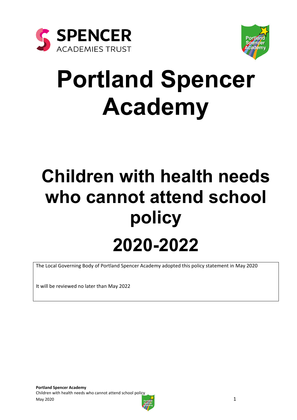



# **Portland Spencer Academy**

# **Children with health needs who cannot attend school policy 2020-2022**

The Local Governing Body of Portland Spencer Academy adopted this policy statement in May 2020

It will be reviewed no later than May 2022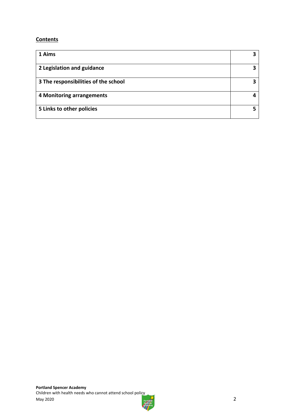#### **Contents**

| 1 Aims                               |  |
|--------------------------------------|--|
| 2 Legislation and guidance           |  |
| 3 The responsibilities of the school |  |
| 4 Monitoring arrangements            |  |
| 5 Links to other policies            |  |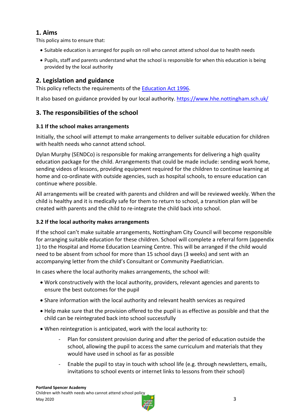# **1. Aims**

This policy aims to ensure that:

- Suitable education is arranged for pupils on roll who cannot attend school due to health needs
- Pupils, staff and parents understand what the school is responsible for when this education is being provided by the local authority

# **2. Legislation and guidance**

This policy reflects the requirements of the **Education Act 1996**.

It also based on guidance provided by our local authority.<https://www.hhe.nottingham.sch.uk/>

# **3. The responsibilities of the school**

#### **3.1 If the school makes arrangements**

Initially, the school will attempt to make arrangements to deliver suitable education for children with health needs who cannot attend school.

Dylan Murphy (SENDCo) is responsible for making arrangements for delivering a high quality education package for the child. Arrangements that could be made include: sending work home, sending videos of lessons, providing equipment required for the children to continue learning at home and co-ordinate with outside agencies, such as hospital schools, to ensure education can continue where possible.

All arrangements will be created with parents and children and will be reviewed weekly. When the child is healthy and it is medically safe for them to return to school, a transition plan will be created with parents and the child to re-integrate the child back into school.

### **3.2 If the local authority makes arrangements**

If the school can't make suitable arrangements, Nottingham City Council will become responsible for arranging suitable education for these children. School will complete a referral form (appendix 1) to the Hospital and Home Education Learning Centre. This will be arranged if the child would need to be absent from school for more than 15 school days (3 weeks) and sent with an accompanying letter from the child's Consultant or Community Paediatrician.

In cases where the local authority makes arrangements, the school will:

- Work constructively with the local authority, providers, relevant agencies and parents to ensure the best outcomes for the pupil
- Share information with the local authority and relevant health services as required
- Help make sure that the provision offered to the pupil is as effective as possible and that the child can be reintegrated back into school successfully
- When reintegration is anticipated, work with the local authority to:
	- Plan for consistent provision during and after the period of education outside the school, allowing the pupil to access the same curriculum and materials that they would have used in school as far as possible
	- Enable the pupil to stay in touch with school life (e.g. through newsletters, emails, invitations to school events or internet links to lessons from their school)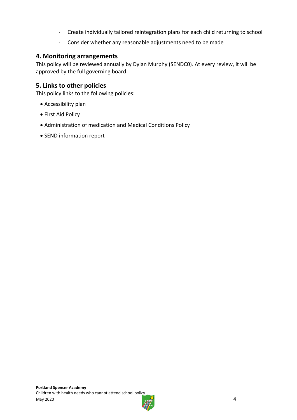- Create individually tailored reintegration plans for each child returning to school
- Consider whether any reasonable adjustments need to be made

#### **4. Monitoring arrangements**

This policy will be reviewed annually by Dylan Murphy (SENDC0). At every review, it will be approved by the full governing board.

## **5. Links to other policies**

This policy links to the following policies:

- Accessibility plan
- **First Aid Policy**
- Administration of medication and Medical Conditions Policy
- SEND information report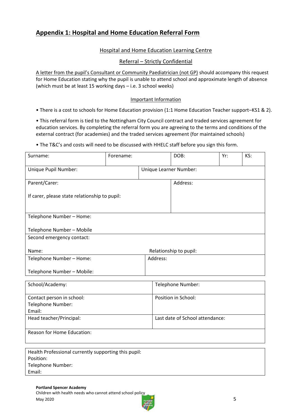## **Appendix 1: Hospital and Home Education Referral Form**

#### Hospital and Home Education Learning Centre

#### Referral – Strictly Confidential

A letter from the pupil's Consultant or Community Paediatrician (not GP) should accompany this request for Home Education stating why the pupil is unable to attend school and approximate length of absence (which must be at least 15 working days – i.e. 3 school weeks)

#### Important Information

• There is a cost to schools for Home Education provision (1:1 Home Education Teacher support–KS1 & 2).

• This referral form is tied to the Nottingham City Council contract and traded services agreement for education services. By completing the referral form you are agreeing to the terms and conditions of the external contract (for academies) and the traded services agreement (for maintained schools)

• The T&C's and costs will need to be discussed with HHELC staff before you sign this form.

| Surname:                                             | Forename: |                        | DOB:                            | Yr: | KS: |
|------------------------------------------------------|-----------|------------------------|---------------------------------|-----|-----|
| Unique Pupil Number:                                 |           | Unique Learner Number: |                                 |     |     |
| Parent/Carer:                                        |           |                        | Address:                        |     |     |
| If carer, please state relationship to pupil:        |           |                        |                                 |     |     |
|                                                      |           |                        |                                 |     |     |
| Telephone Number - Home:                             |           |                        |                                 |     |     |
| Telephone Number - Mobile                            |           |                        |                                 |     |     |
| Second emergency contact:                            |           |                        |                                 |     |     |
| Name:                                                |           |                        |                                 |     |     |
| Telephone Number - Home:                             |           | Address:               | Relationship to pupil:          |     |     |
|                                                      |           |                        |                                 |     |     |
| Telephone Number - Mobile:                           |           |                        |                                 |     |     |
| School/Academy:                                      |           |                        | Telephone Number:               |     |     |
|                                                      |           |                        |                                 |     |     |
| Contact person in school:                            |           |                        | Position in School:             |     |     |
| Telephone Number:                                    |           |                        |                                 |     |     |
| Email:                                               |           |                        |                                 |     |     |
| Head teacher/Principal:                              |           |                        | Last date of School attendance: |     |     |
| Reason for Home Education:                           |           |                        |                                 |     |     |
|                                                      |           |                        |                                 |     |     |
| Health Professional currently supporting this pupil: |           |                        |                                 |     |     |
| Position:                                            |           |                        |                                 |     |     |

Telephone Number:

Email: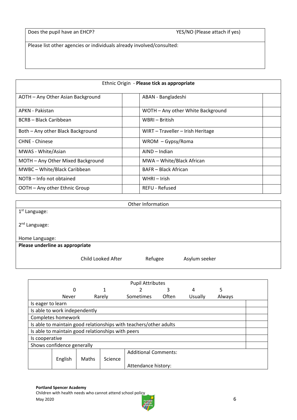Does the pupil have an EHCP? YES/NO (Please attach if yes)

Please list other agencies or individuals already involved/consulted:

| Ethnic Origin - Please tick as appropriate |                                   |  |
|--------------------------------------------|-----------------------------------|--|
| AOTH - Any Other Asian Background          | ABAN - Bangladeshi                |  |
| APKN - Pakistan                            | WOTH - Any other White Background |  |
| BCRB - Black Caribbean                     | WBRI – British                    |  |
| Both - Any other Black Background          | WIRT - Traveller - Irish Heritage |  |
| <b>CHNE - Chinese</b>                      | $WROM - Gypsy/Roma$               |  |
| MWAS - White/Asian                         | AIND – Indian                     |  |
| MOTH - Any Other Mixed Background          | MWA - White/Black African         |  |
| MWBC - White/Black Caribbean               | <b>BAFR</b> – Black African       |  |
| NOTB – Info not obtained                   | WHRI – Irish                      |  |
| OOTH – Any other Ethnic Group              | <b>REFU - Refused</b>             |  |

|                                 |                    | Other Information |               |
|---------------------------------|--------------------|-------------------|---------------|
| 1 <sup>st</sup> Language:       |                    |                   |               |
|                                 |                    |                   |               |
| 2 <sup>nd</sup> Language:       |                    |                   |               |
|                                 |                    |                   |               |
| Home Language:                  |                    |                   |               |
| Please underline as appropriate |                    |                   |               |
|                                 |                    |                   |               |
|                                 | Child Looked After | Refugee           | Asylum seeker |
|                                 |                    |                   |               |

|                                                                   |                                                   |       |         | <b>Pupil Attributes</b>     |       |         |        |  |
|-------------------------------------------------------------------|---------------------------------------------------|-------|---------|-----------------------------|-------|---------|--------|--|
|                                                                   | 0                                                 |       |         |                             | 3     | 4       | 5      |  |
|                                                                   | Never                                             |       | Rarely  | Sometimes                   | Often | Usually | Always |  |
| Is eager to learn                                                 |                                                   |       |         |                             |       |         |        |  |
|                                                                   | Is able to work independently                     |       |         |                             |       |         |        |  |
|                                                                   | Completes homework                                |       |         |                             |       |         |        |  |
| Is able to maintain good relationships with teachers/other adults |                                                   |       |         |                             |       |         |        |  |
|                                                                   | Is able to maintain good relationships with peers |       |         |                             |       |         |        |  |
|                                                                   | Is cooperative                                    |       |         |                             |       |         |        |  |
|                                                                   | Shows confidence generally                        |       |         |                             |       |         |        |  |
|                                                                   |                                                   |       |         | <b>Additional Comments:</b> |       |         |        |  |
|                                                                   | English                                           | Maths | Science |                             |       |         |        |  |
|                                                                   |                                                   |       |         | Attendance history:         |       |         |        |  |

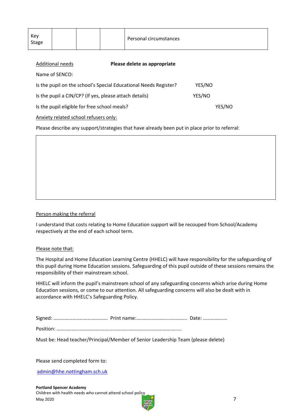| Key<br>Personal circumstances<br>Stage |  |
|----------------------------------------|--|
|----------------------------------------|--|

| Additional needs                                       | Please delete as appropriate                                     |        |  |
|--------------------------------------------------------|------------------------------------------------------------------|--------|--|
| Name of SENCO:                                         |                                                                  |        |  |
|                                                        | Is the pupil on the school's Special Educational Needs Register? | YES/NO |  |
| Is the pupil a CIN/CP? (If yes, please attach details) |                                                                  | YES/NO |  |
| Is the pupil eligible for free school meals?           |                                                                  | YES/NO |  |
| Anxiety related school refusers only:                  |                                                                  |        |  |

Please describe any support/strategies that have already been put in place prior to referral:

#### Person making the referral

I understand that costs relating to Home Education support will be recouped from School/Academy respectively at the end of each school term.

#### Please note that:

The Hospital and Home Education Learning Centre (HHELC) will have responsibility for the safeguarding of this pupil during Home Education sessions. Safeguarding of this pupil outside of these sessions remains the responsibility of their mainstream school.

HHELC will inform the pupil's mainstream school of any safeguarding concerns which arise during Home Education sessions, or come to our attention. All safeguarding concerns will also be dealt with in accordance with HHELC's Safeguarding Policy.

|--|

Must be: Head teacher/Principal/Member of Senior Leadership Team (please delete)

Please send completed form to:

[admin@hhe.nottingham.sch.uk](mailto:admin@hhe.nottingham.sch.uk)